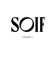

### $\frac{1}{\sqrt{2}}$  swaf  $\frac{1}{\sqrt{2}}$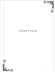

# COCKTAILS

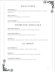### SIGNATURES

**saffrodesiac** 17 apologue saffron liqueur, neisson rhum agricole blanc, orgeat, tiki bitters, nasturtium

**devil is nuts** 16 pinhook rye, montenegro, nux alpina walnut

**je suis caféine** 16 sotol la higuera, songbird coffee, demerera, cinnamon bitters

### CHAMPAGNE COCKTAILS

**miss celery melon** 15 skeptic vodka, aelred melon aperitif, celery bitters, sparkling

**amaro never knows** 15 noveis amaro, royal combier orange bitters, sparkling

**THE NOLA** 15 ogen legander, heirloom genepy, vermouth routin, peychaud bitters, sparkling

### C L A S S I C S

**old fashioned** 15 woody creek bourbon, demerera, tobacco bitters, orange

**daiquiri** 15 saison rum pale, orange demerera, lime, polynesian kiss bitters

**I just want a martini** 17 diplome gin or bistro vodka, maurin dry vermouth, twist  $\tilde{\zeta}$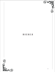

# BIERES

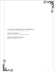

**LA LOIRETTE, BRASSERIE DE LA PIGEONNELLE** 9 farmhouse ale, saison, 5.5 abv, france

**DELIRIUM TREMENS** 12 belgian ale, 8.5 abv, brussels, belgium

**DOVETAIL BREWERY KOLSCH** 9 KOLSCH, 4.8 abv, chicago, il

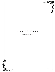

## VINS AUVERRE

WINES BY THE GLASS

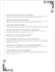

#### **gaston chiquet premier cru brut nv champagne** 21

pinot mineur, chardonnay, pinot noir; six grams dosage, cuvee blend of different harvests; dried fruits, fine mousse, fruit driven with aromatic finish

#### **domaine de la bretonniere blanc 2020** 15

muscadet sevre et maine; melon de bourgogne; volcanic rock and clay soils, aged on fine lees in concrete tanks; linear, brisk with a rounded mouthfeel

#### **julien pineau, roche blanc 2020** 17

touraine; sauvignon blanc; old vines, stainless steel ferment; vineyards in close proximity to cheverny but at higher altitudes; petrol nose, refined, gripping acidity

#### **lise & bertrand jousset, "the orange jouss" orange 2020** 17

chardonnay; husband and wife duo; one month skin-contact; very approachable skin-contact with nuance and expressive, juicy fruits

#### **Nicolas Reau, "Ange" cabernet Franc 2020** 17

six months aging in foudre and concrete tank

#### **jonathan buisson, "les trois loups", cote de bouilly 2019** 18

semi-carbonic maceration, native yeast, unfined and unfiltered; "the three wolves", representing buisson, his father and grandfather; crunchy fruits with a smokey mineral finish; organic

#### **patrick jasmin, "la chevaliere", collines rhodaniennes 2019** 16

syrah, family run estate originally from the champagne region, settling in the village of ampuis; "the bridge between burgundy and rhone"

#### **matthieu barret, "petit ours" rouge 2020** 15

syrah; young vines, negociant; "little bear", which is barret's nickname amongst friends; young and light, juicy, expressive black fruits from the age of the vines with well integrated tannin

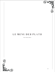

### LE MENU DES PLATS

THE FOOD MENU

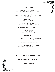### **les petit bouts**

#### **MELANGE de NOIX et PLUS** 7

olives, dates, chocolate, mixed nuts, mulberry

#### **FROMAGE GRILLÉ** 14

Comté cheese, brioche toast, truffle herb butter add prosciutto 3

#### **GOUGERES** 11

petit basque mornay

#### **LE FOIE GRAS BRULEE**

poppy seeds, hazelnut, brioche points 17

#### **rare tea cellars caviar**

**served with creme fraiche & aleppo dill potato chips** 

smoked trout roe 27 Bowfin roe 25 smoked golden whitefish 22 golden kaluga sturgeon 50 albino sterlet 65

#### **notre selection de conserves**

**SERVED WITH CRACKERS 19 EACH** sardines, squid ink calamari, mussels, razor clams, mackeral or octopus

#### **assiette viande et fromage**

served with crackers, cornichon, fig jam, candied apricots and whole grain mustard 32

#### **du cote doux et petits reves**

**CHOCOLATE TRUFFLE ASSORTMENT** selection of 3 for 5

**MACARONS ASSORTMENT** 

selection of 3 for 8

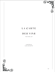

# L A C A R T E

### DES VINS

the wine list

CURATED BY aldo zaninotto

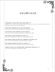

### CHAMPAGNE

**jacquesson, "cuvee 744" extra brut 2016** 175 blend of multiple estate vineyard sites; chardonnay, pinot noir, pinot meunier; organic, biodynamic; less than one gram dosage

**aubry brut premier cru nv, jouy-les-reims** 87 pinot noir, pinot meunier, chardonnay; disgorged in 2021

**louis nicaise, brut reserve, hautvilliers** 82 pinot noir, pinot meunier, chardonnay; disgorged in 2021

**jean vesselle brut reserve nv, bouzy** 89 pinot noir, chardonnay; less than eleven grams dosage

**egly-ouriet grand cru brut nv, ambonnay and bouzy** 195 pinot noir and chardonnay; one gram dosage; organic

**egly-ouriet premier cru brut nv, vrigny** 165 pinot meunier; vieilles vignes; one gram dosage; organic

**pierre paillard "les terres roses" rose bouzy grand cru** 115 pinot noir, chardonnay; disgorged in 2021

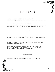### B U R G U N D Y

#### **jean phillipe fichet bourgogne blanc 2019** 62

Clay, limestone; Organic; vineyards planted in Meursault, unclassified aoc

#### **pascal clement, bourgogne blanc 2020** 69

chardonnay; family estate located in savigny-les-beaune; elegant, refined minerality with complex layers of lemon curd and spiced vanilla toast

#### **chablis**

#### **domaine christophe et fils, petit chablis 2018** 58

Wet Stone, Flint, Preserved lemon, decadent; this particulr warmer vintage produced wines within chablis with a richer density than other vintages

#### **domaine de l'enclos, petit chablis 2018** 54

romain et damien bouchard, two brothers, new generation; Minerals and flint driven balanced with lemon curd, pear, white peach and a playful but structured mouthfeel; organic

#### **domaine vocoret chablis premier cru, "les forets" 2018** 72

Left bank of the Serein River, Montsmains parcels, vielles vignes; exotic flowers, ripe stone fruits, rich mouthfeel

#### **cotes de nuits**

**pierre damoy, "les longeroies" marsannay rouge 2009** 95

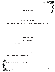

**pascal clement bourgogne blanc 2019** 62

G

**savigny les beaunes**

**domaine rollin pere et fils rouge 2018** 76

**pernand vergelesses**

**domaine rollin pere et fils rouge 2018** 125

**michel gay et fils, "vieilles vignes" rouge 2016** 82

**cotes de beaune** 

**domaine gerard mugneret rouge 2016** 150

**domaine frederic esmonin premier cru, estournelles st. jacques 2018** 160

**gevrey - chambertin**

**vosne romanee**

**aloxe corton** 

**perrot-minot premier cru, "la riotte" 2018** 225

**perrot-minot premier cru, "la riotte" 2017** 235

**morey saint denis**

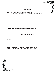#### **meursault**

#### **albert grivault, "clos du murger" blanc 2018** 155

"murger" refers to the distinctive stones found on the vineyards in this region, which impart characteristic flavors within the wine; very small production with only 5 hectars; lieu-diet

#### **chassagne montrachet**

**jean-marc pillot les chenevottes, premier cru 2019** 155

**domaine bernard moreau et fils, vieilles vignes rouge 2019** 120

**jean-marc pillot morgeot, "les fairendes" 2017** 138

#### **cotes chalonnaise**

**jean yves devevey, la chaume rouge, rully 2018** 78 Mostly clay soils, aged 17-18 months in barrel; red currant, barnyard, earthy, and rustic

**domaine laurent cognard, "pouilly-loche aux barres" 2019** 85

#### **maconnais**

**saumaize-michelin, "ronchevats" blanc, pouilly-fuisse 2019** 90 one of the top producers within the region, very old vines; terroir driven with steely energy and ripe, exotic fruits, structered acidic finish; biodynamic

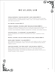# B E A U J O L A I S

#### **famille dutraive, "clos de chapitre", saint amour 2018** 73

Classic carbonic, younger vintner following the band of four in natural winemaking; Slight effervescence, fresh, lively, with smokey minerals and spicy red / blue fruits

#### **guy breton, fleurie 2019** 75

#### **thibault ducroux, "en roue libre" beaujolais rouge 2020** 60

thibault learned winemaking from his father and also studied amongst the pioneers of natural winemaking within the region, 2019 was his first vintage; hand-harvested, carbonic maceration, unfined, unfiltered; organic

#### **clotaire michal, "la napoleon", villages 2018** 63

savory expression with notes of mushroom and umami, lingering finish; **ORGANIC** 

**Marcel lapierre, vieilles vignes nature cuvee, morgon 2020** 80

#### **david large "piranha", villages 2019** 61

semi-carbonic maceration, low intervention, unfiltered; an ode to large's beginning as a winemaker, a small fish not to be underestimated; bright, vibrant, playful

#### **jonathan buisson, "les trois loups", cote de bouilly 2019** 65

semi-carbonic maceration, native yeast, unfined and unfiltered; pierre bleue, igneous rock characteristic of bouilly; "the three wolves", representing buisson, his father and grandfather; crunchy fruits with a smokey mineral finish; organic

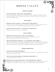### RHONE VALLEY

#### **cotes du rhone**

#### **matthieu barret, "petit ours" rouge 2020** 58

syrah; young vines, negociant; "little bear", which is barret's nickname among friends; feminine, juicy, expressive black fruits from the age of the vines with well integrated tannin

#### **COTE ROTIE**

**domaine patrick jasmin, "la chevaliere" rouge 2019** 62 syrah; family run estate originally from the champagne region, settling in the village of ampuis; "the bridge between burgundy and the rhone"

#### **domaine patrick jasmin, "la giroflarie" rouge 2017** 97

primarily syrah with a touch of viognier

#### **saint joseph**

**domaine jean louis chave, "circa" blanc 2016** 69 Blend of old vine Roussanne; granite soils; Creamed fruits with racy honeysuckle and salted butter finish

#### **domaine romaneaux-destezet, "la soutronne" rouge 2020** 73

gamay; herve souhaut likes to produce wines that should be drunk young; schist soils and unfiltered; interesting expression of gamay in the rhone with bright red/surly black fruits evolving into smokey minerals and wood; organic

#### **crozes hermitage**

**Vincent paris selections 2020** 61 dry, low acidity, intense, but polished tannins; black fruit, roasted plum, pepper, black olive, licorice, spice.

**jean louis chave selection, farconnet rouge 2016** 155 syrah; granite soils; organic

**domaine les quatre vents blanc, "les pitchounettes" 2018** 68 Roussanne; low-intervention, alluvial and sandstone soils; honeyed fruits with a touch of white pepper, floral, slight nuttiness; organic and biodynamic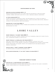#### **chateauneuf du pape**

#### **domaine galevan georges 2016** 125

Grenache Mourvedre blend; old vines; aged for 15 months in new oak casks; licorice, herbs, and black olive with a lively vibrance; organic, biodynamic

#### **le vieux donjon 2017** 89

classic cdp blend of grenache, syrah, and mouvedre with a touch of cinsault; family run estate led by husband and wife, lucien and marie-jose michel, recently joined by their daughter; practicing organic

#### **domaine de la solitude 2020** 95

grenache noir, mourvedre, syrah; finesse and elegance with structure; A polished CHATEAUNEUF DU PAPE.

### LOIRE VALLEY

#### **marie thibault, "le zeze" rose 2020** 59

gamay and grolleau; cement fermentation, multi-seasonal rose with fleshy fruits, well integrated minerality and salinity

#### **marie thibault, le grolleau vdf rouge 2019** 64

grolleau; marie shares a winery with her husband, although they vinify seperately and is a very precise, thoughtful winemaker which shows in her wines; clean, structured, yet savory, rustic, with darker fruits and medium weight; organic, biodynamic

#### **nicolas reau, "ange" cabernet franc 2020** 52

six months aging in foudre and concrete tank

#### **guillaume reynouard, "k' sa tete" pineau d'aunis 2019** 57



#### **muscadet sevre et maine**

#### **domaine de la bretonniere blanc 2020** 52

melon de bourgogne; volcanic rock and clay soils, aged on fine lees in concrete tanks; linear, brisk with a rounded mouthfeel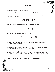#### **sancerre**

#### **domaine pierre riffault 2019** 58

Sauvignon Blanc; his daughter Julie has since taken over the vineyards; structured and racy with a flinty streak

#### **cherrier pere & fils, "la croix poignant cuvee" 2020** 65

sauvignon blanc; well-trusted family run estate for multiple generations with two brothers currently running the vineyards; true expression of terroir with a mixture of flint and chalk

### **BORDEAUX**

**chateau falfas, "le chevalier", right bank rouge 2014** 84

### A L S A C E

**zindt humbrecht, "roche" riesling 2018** 59

### L A N G U E D O C

#### **domaine anne gros et jean paul tollot, "la cinso" rouge 2019** 56

languedoc; cinsault; sandstone and marl soils, burgundian vinification; small producers; delicate, perfumed nose with stewed red fruits, chocolate mocha flavors, supple integrated tannin

#### **lise & bertrand jousset, "the orange jouss" orange 2020** 61

chardonnay; husband and wife duo; one month skin-contact; very approachable skin-contact with nuance and expressive, juicier fruits

#### **domaine les serrals, cricri d'amour 2019** 61

grenach, cinsault blend; grapes were purchased by the winemakers from their friend christiane, pictured on the label, who opened the first illegal gay bar in montpellier during the 70's; lightly treated, wild, expressive with brambly black fruits and integrated tannin

#### **mas de daumas gassac, by v. guibert de la vaissiere 2018** 110

cabenert sauvignon, cabernet franc, petit verdot, pinot noir, malbec, nebbiolo, **DOLCETTO**